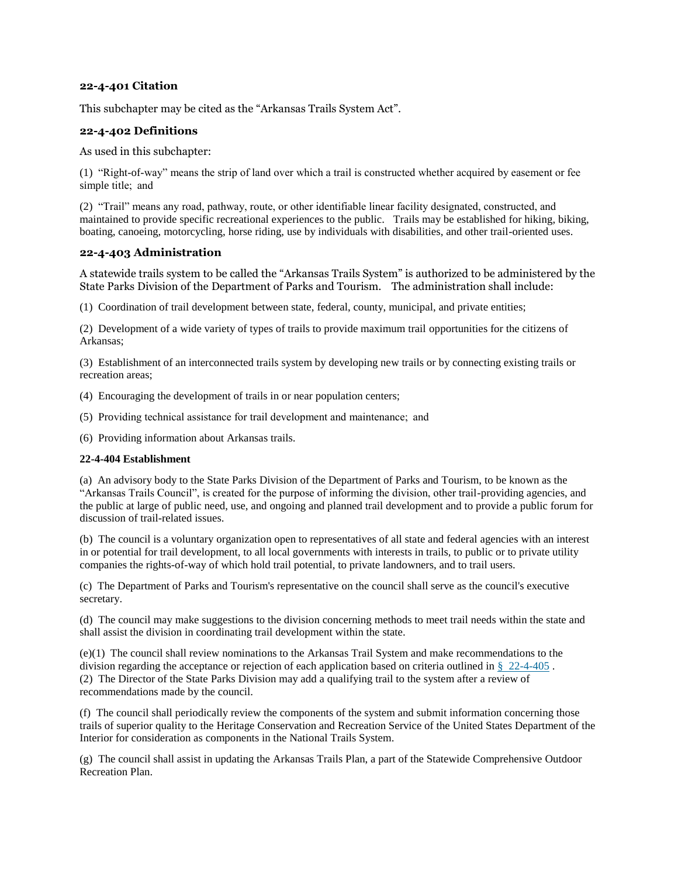## **22-4-401 Citation**

This subchapter may be cited as the "Arkansas Trails System Act".

### **22-4-402 Definitions**

As used in this subchapter:

(1) "Right-of-way" means the strip of land over which a trail is constructed whether acquired by easement or fee simple title;  and

(2) "Trail" means any road, pathway, route, or other identifiable linear facility designated, constructed, and maintained to provide specific recreational experiences to the public. Trails may be established for hiking, biking, boating, canoeing, motorcycling, horse riding, use by individuals with disabilities, and other trail-oriented uses.

## **22-4-403 Administration**

A statewide trails system to be called the "Arkansas Trails System" is authorized to be administered by the State Parks Division of the Department of Parks and Tourism. The administration shall include:

(1) Coordination of trail development between state, federal, county, municipal, and private entities;

(2) Development of a wide variety of types of trails to provide maximum trail opportunities for the citizens of Arkansas;

(3) Establishment of an interconnected trails system by developing new trails or by connecting existing trails or recreation areas;

- (4) Encouraging the development of trails in or near population centers;
- (5) Providing technical assistance for trail development and maintenance;  and
- (6) Providing information about Arkansas trails.

#### **22-4-404 Establishment**

(a) An advisory body to the State Parks Division of the Department of Parks and Tourism, to be known as the "Arkansas Trails Council", is created for the purpose of informing the division, other trail-providing agencies, and the public at large of public need, use, and ongoing and planned trail development and to provide a public forum for discussion of trail-related issues.

(b) The council is a voluntary organization open to representatives of all state and federal agencies with an interest in or potential for trail development, to all local governments with interests in trails, to public or to private utility companies the rights-of-way of which hold trail potential, to private landowners, and to trail users.

(c) The Department of Parks and Tourism's representative on the council shall serve as the council's executive secretary.

(d) The council may make suggestions to the division concerning methods to meet trail needs within the state and shall assist the division in coordinating trail development within the state.

(e)(1) The council shall review nominations to the Arkansas Trail System and make recommendations to the division regarding the acceptance or rejection of each application based on criteria outlined in § [22-4-405](https://1.next.westlaw.com/Link/Document/FullText?findType=L&originatingContext=document&transitionType=DocumentItem&pubNum=1000004&refType=LQ&originatingDoc=I55e039c0aaa911e3be779f74e95b4472&cite=ARSTS22-4-405) . (2) The Director of the State Parks Division may add a qualifying trail to the system after a review of recommendations made by the council.

(f) The council shall periodically review the components of the system and submit information concerning those trails of superior quality to the Heritage Conservation and Recreation Service of the United States Department of the Interior for consideration as components in the National Trails System.

(g) The council shall assist in updating the Arkansas Trails Plan, a part of the Statewide Comprehensive Outdoor Recreation Plan.